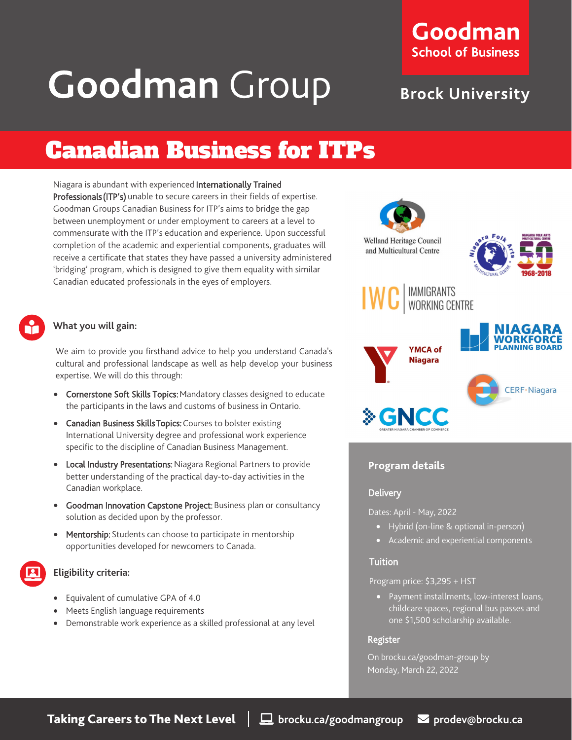## receive a certificate that states they have passed a university administered 'bridging' program, which is designed to give them equality with similar Canadian educated professionals in the eyes of employers.

### **What you will gain:**

We aim to provide you firsthand advice to help you understand Canada's cultural and professional landscape as well as help develop your business expertise. We will do this through:

Canadian Business for ITPs

Niagara is abundant with experienced Internationally Trained

Professionals (ITP's) unable to secure careers in their fields of expertise. Goodman Groups Canadian Business for ITP's aims to bridge the gap between unemployment or under employment to careers at a level to commensurate with the ITP's education and experience. Upon successful completion of the academic and experiential components, graduates will

**Goodman Group** 

- Cornerstone Soft Skills Topics: Mandatory classes designed to educate the participants in the laws and customs of business in Ontario.
- Canadian Business Skills Topics: Courses to bolster existing International University degree and professional work experience specific to the discipline of Canadian Business Management.
- Local Industry Presentations: Niagara Regional Partners to provide better understanding of the practical day-to-day activities in the Canadian workplace.
- **Goodman Innovation Capstone Project: Business plan or consultancy** solution as decided upon by the professor.
- Mentorship: Students can choose to participate in mentorship opportunities developed for newcomers to Canada.

### **Eligibility criteria:**

- Equivalent of cumulative GPA of 4.0
- Meets English language requirements
- Demonstrable work experience as a skilled professional at any level

Welland Heritage Council





**C** | IMMIGRANTS<br>WORKING CENTRE



### **Program details**

### **Delivery**

Dates: April - May, 2022

- Hybrid (on-line & optional in-person)
- Academic and experiential components

### **Tuition**

Program price: \$3,295 + HST

• Payment installments, low-interest loans, childcare spaces, regional bus passes and [one \\$1,500 scholarship av](https://brocku.ca/goodman-group/professional-development/about/project-management-certificate/)ailable.

### Register

On brocku.ca/goodman-group by Monday, March 22, 2022

# **School of Business**

## **Brock University**

Goodman



Ů

囸